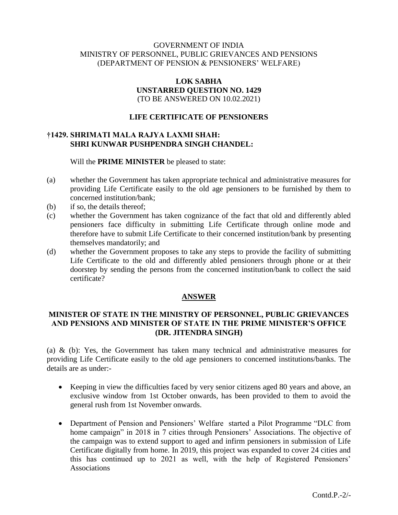## GOVERNMENT OF INDIA MINISTRY OF PERSONNEL, PUBLIC GRIEVANCES AND PENSIONS (DEPARTMENT OF PENSION & PENSIONERS' WELFARE)

### **LOK SABHA UNSTARRED QUESTION NO. 1429** (TO BE ANSWERED ON 10.02.2021)

## **LIFE CERTIFICATE OF PENSIONERS**

# **†1429. SHRIMATI MALA RAJYA LAXMI SHAH: SHRI KUNWAR PUSHPENDRA SINGH CHANDEL:**

Will the **PRIME MINISTER** be pleased to state:

- (a) whether the Government has taken appropriate technical and administrative measures for providing Life Certificate easily to the old age pensioners to be furnished by them to concerned institution/bank;
- (b) if so, the details thereof;
- (c) whether the Government has taken cognizance of the fact that old and differently abled pensioners face difficulty in submitting Life Certificate through online mode and therefore have to submit Life Certificate to their concerned institution/bank by presenting themselves mandatorily; and
- (d) whether the Government proposes to take any steps to provide the facility of submitting Life Certificate to the old and differently abled pensioners through phone or at their doorstep by sending the persons from the concerned institution/bank to collect the said certificate?

#### **ANSWER**

# **MINISTER OF STATE IN THE MINISTRY OF PERSONNEL, PUBLIC GRIEVANCES AND PENSIONS AND MINISTER OF STATE IN THE PRIME MINISTER'S OFFICE (DR. JITENDRA SINGH)**

(a) & (b): Yes, the Government has taken many technical and administrative measures for providing Life Certificate easily to the old age pensioners to concerned institutions/banks. The details are as under:-

- Keeping in view the difficulties faced by very senior citizens aged 80 years and above, an exclusive window from 1st October onwards, has been provided to them to avoid the general rush from 1st November onwards.
- Department of Pension and Pensioners' Welfare started a Pilot Programme "DLC from home campaign" in 2018 in 7 cities through Pensioners' Associations. The objective of the campaign was to extend support to aged and infirm pensioners in submission of Life Certificate digitally from home. In 2019, this project was expanded to cover 24 cities and this has continued up to 2021 as well, with the help of Registered Pensioners' Associations